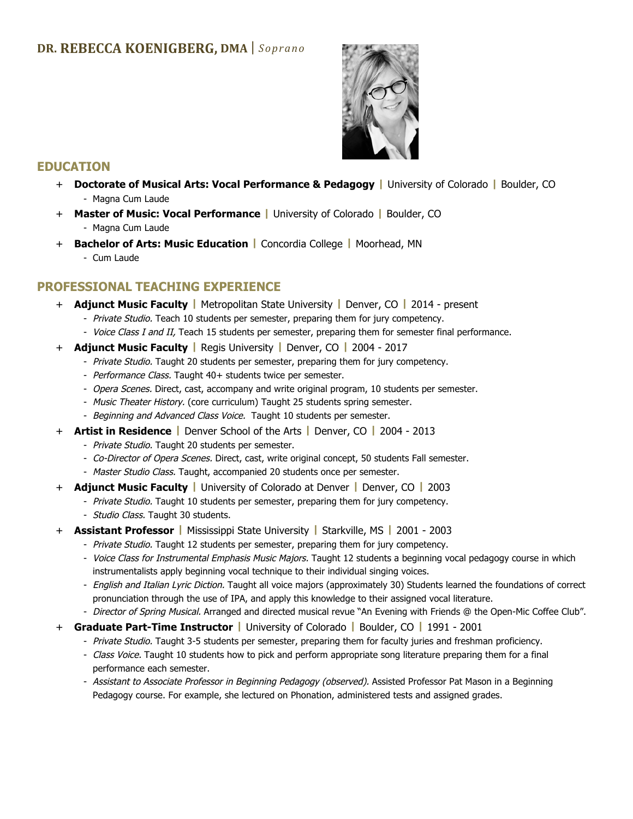

### **EDUCATION**

- + **Doctorate of Musical Arts: Vocal Performance & Pedagogy |** University of Colorado **|** Boulder, CO - Magna Cum Laude
- + **Master of Music: Vocal Performance |** University of Colorado **|** Boulder, CO - Magna Cum Laude
- + **Bachelor of Arts: Music Education |** Concordia College **|** Moorhead, MN
	- Cum Laude

### **PROFESSIONAL TEACHING EXPERIENCE**

- + **Adjunct Music Faculty |** Metropolitan State University **|** Denver, CO **|** 2014 present
	- Private Studio. Teach 10 students per semester, preparing them for jury competency.
	- Voice Class I and II, Teach 15 students per semester, preparing them for semester final performance.
- + **Adjunct Music Faculty |** Regis University **|** Denver, CO **|** 2004 2017
	- Private Studio. Taught 20 students per semester, preparing them for jury competency.
	- Performance Class. Taught 40+ students twice per semester.
	- Opera Scenes. Direct, cast, accompany and write original program, 10 students per semester.
	- Music Theater History. (core curriculum) Taught 25 students spring semester.
	- Beginning and Advanced Class Voice. Taught 10 students per semester.
- + **Artist in Residence |** Denver School of the Arts **|** Denver, CO **|** 2004 2013
	- Private Studio. Taught 20 students per semester.
	- Co-Director of Opera Scenes. Direct, cast, write original concept, 50 students Fall semester.
	- Master Studio Class. Taught, accompanied 20 students once per semester.
- + **Adjunct Music Faculty |** University of Colorado at Denver **|** Denver, CO **|** 2003
	- Private Studio. Taught 10 students per semester, preparing them for jury competency.
		- Studio Class. Taught 30 students.
- + **Assistant Professor |** Mississippi State University **|** Starkville, MS **|** 2001 2003
	- Private Studio. Taught 12 students per semester, preparing them for jury competency.
	- Voice Class for Instrumental Emphasis Music Majors. Taught 12 students a beginning vocal pedagogy course in which instrumentalists apply beginning vocal technique to their individual singing voices.
	- English and Italian Lyric Diction. Taught all voice majors (approximately 30) Students learned the foundations of correct pronunciation through the use of IPA, and apply this knowledge to their assigned vocal literature.
	- Director of Spring Musical. Arranged and directed musical revue "An Evening with Friends @ the Open-Mic Coffee Club".
- + **Graduate Part-Time Instructor |** University of Colorado **|** Boulder, CO **|** 1991 2001
	- Private Studio. Taught 3-5 students per semester, preparing them for faculty juries and freshman proficiency.
	- Class Voice. Taught 10 students how to pick and perform appropriate song literature preparing them for a final performance each semester.
	- Assistant to Associate Professor in Beginning Pedagogy (observed). Assisted Professor Pat Mason in a Beginning Pedagogy course. For example, she lectured on Phonation, administered tests and assigned grades.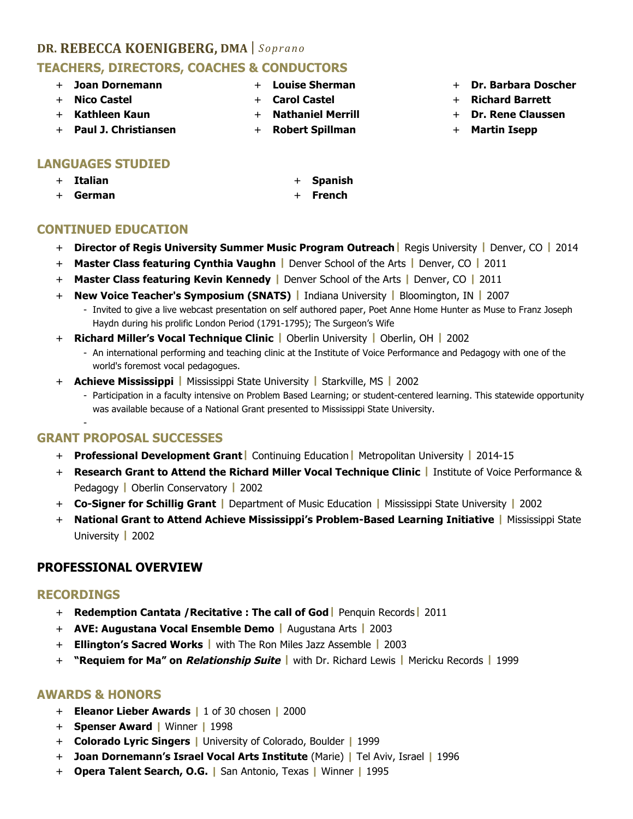# **DR. REBECCA KOENIGBERG, DMA** | *Soprano* **TEACHERS, DIRECTORS, COACHES & CONDUCTORS**

- + **Joan Dornemann**
- + **Nico Castel**
- + **Kathleen Kaun**
- + **Louise Sherman** + **Carol Castel**
- + **Nathaniel Merrill**
- + **Robert Spillman**
- + **Dr. Barbara Doscher**
- + **Richard Barrett**
- + **Dr. Rene Claussen**
- + **Martin Isepp**

### + **Paul J. Christiansen**

## **LANGUAGES STUDIED**

- + **Italian**
- + **German**
- + **Spanish**
- + **French**

# **CONTINUED EDUCATION**

- + **Director of Regis University Summer Music Program Outreach|** Regis University **|** Denver, CO **|** 2014
- + **Master Class featuring Cynthia Vaughn |** Denver School of the Arts **|** Denver, CO **|** 2011
- + **Master Class featuring Kevin Kennedy |** Denver School of the Arts **|** Denver, CO **|** 2011
- + **New Voice Teacher's Symposium (SNATS) |** Indiana University **|** Bloomington, IN **|** 2007
	- Invited to give a live webcast presentation on self authored paper, Poet Anne Home Hunter as Muse to Franz Joseph Haydn during his prolific London Period (1791-1795); The Surgeon's Wife
- + **Richard Miller's Vocal Technique Clinic |** Oberlin University **|** Oberlin, OH **|** 2002
	- An international performing and teaching clinic at the Institute of Voice Performance and Pedagogy with one of the world's foremost vocal pedagogues.
- + **Achieve Mississippi |** Mississippi State University **|** Starkville, MS **|** 2002
	- Participation in a faculty intensive on Problem Based Learning; or student-centered learning. This statewide opportunity was available because of a National Grant presented to Mississippi State University.

# **GRANT PROPOSAL SUCCESSES**

- + **Professional Development Grant|** Continuing Education**|** Metropolitan University **|** 2014-15
- + **Research Grant to Attend the Richard Miller Vocal Technique Clinic |** Institute of Voice Performance & Pedagogy **|** Oberlin Conservatory **|** 2002
- + **Co-Signer for Schillig Grant |** Department of Music Education **|** Mississippi State University **|** 2002
- + **National Grant to Attend Achieve Mississippi's Problem-Based Learning Initiative |** Mississippi State University **|** 2002

# **PROFESSIONAL OVERVIEW**

### **RECORDINGS**

-

- + **Redemption Cantata /Recitative : The call of God|** Penquin Records**|** 2011
- + **AVE: Augustana Vocal Ensemble Demo |** Augustana Arts **|** 2003
- + **Ellington's Sacred Works |** with The Ron Miles Jazz Assemble **|** 2003
- + **"Requiem for Ma" on Relationship Suite |** with Dr. Richard Lewis **|** Mericku Records **|** 1999

### **AWARDS & HONORS**

- + **Eleanor Lieber Awards |** 1 of 30 chosen **|** 2000
- + **Spenser Award |** Winner **|** 1998
- + **Colorado Lyric Singers |** University of Colorado, Boulder **|** 1999
- + **Joan Dornemann's Israel Vocal Arts Institute** (Marie) **|** Tel Aviv, Israel **|** 1996
- + **Opera Talent Search, O.G. |** San Antonio, Texas **|** Winner **|** 1995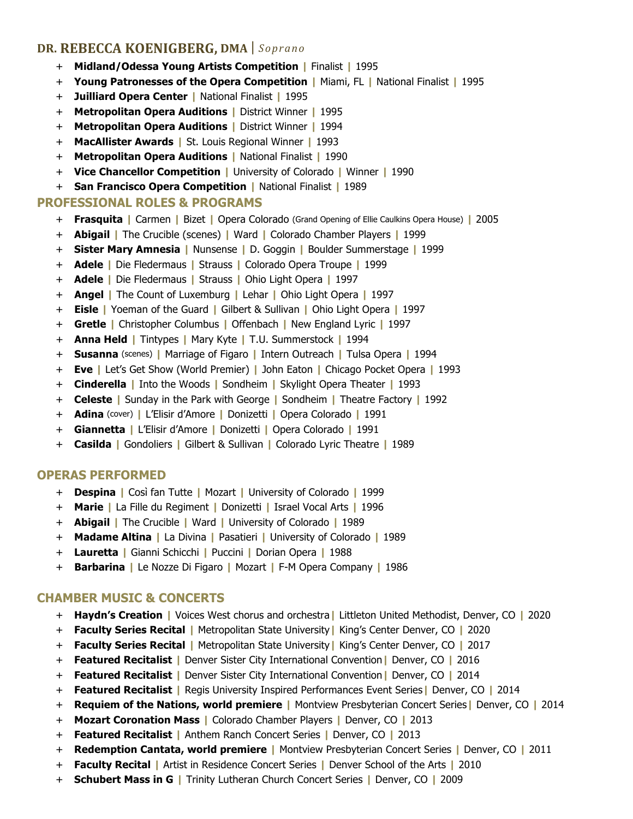- + **Midland/Odessa Young Artists Competition |** Finalist **|** 1995
- + **Young Patronesses of the Opera Competition |** Miami, FL **|** National Finalist **|** 1995
- + **Juilliard Opera Center |** National Finalist **|** 1995
- + **Metropolitan Opera Auditions |** District Winner **|** 1995
- + **Metropolitan Opera Auditions |** District Winner **|** 1994
- + **MacAllister Awards |** St. Louis Regional Winner **|** 1993
- + **Metropolitan Opera Auditions |** National Finalist **|** 1990
- + **Vice Chancellor Competition |** University of Colorado **|** Winner **|** 1990
- + **San Francisco Opera Competition |** National Finalist **|** 1989

### **PROFESSIONAL ROLES & PROGRAMS**

- + **Frasquita |** Carmen **|** Bizet **|** Opera Colorado (Grand Opening of Ellie Caulkins Opera House) **|** 2005
- + **Abigail |** The Crucible (scenes) **|** Ward **|** Colorado Chamber Players **|** 1999
- + **Sister Mary Amnesia |** Nunsense **|** D. Goggin **|** Boulder Summerstage **|** 1999
- + **Adele |** Die Fledermaus **|** Strauss **|** Colorado Opera Troupe **|** 1999
- + **Adele |** Die Fledermaus **|** Strauss **|** Ohio Light Opera **|** 1997
- + **Angel |** The Count of Luxemburg **|** Lehar **|** Ohio Light Opera **|** 1997
- + **Eisle |** Yoeman of the Guard **|** Gilbert & Sullivan **|** Ohio Light Opera **|** 1997
- + **Gretle |** Christopher Columbus **|** Offenbach **|** New England Lyric **|** 1997
- + **Anna Held |** Tintypes **|** Mary Kyte **|** T.U. Summerstock **|** 1994
- + **Susanna** (scenes) **|** Marriage of Figaro **|** Intern Outreach **|** Tulsa Opera **|** 1994
- + **Eve |** Let's Get Show (World Premier) **|** John Eaton **|** Chicago Pocket Opera **|** 1993
- + **Cinderella |** Into the Woods **|** Sondheim **|** Skylight Opera Theater **|** 1993
- + **Celeste |** Sunday in the Park with George **|** Sondheim **|** Theatre Factory **|** 1992
- + **Adina** (cover) **|** L'Elisir d'Amore **|** Donizetti **|** Opera Colorado **|** 1991
- + **Giannetta |** L'Elisir d'Amore **|** Donizetti **|** Opera Colorado **|** 1991
- + **Casilda |** Gondoliers **|** Gilbert & Sullivan **|** Colorado Lyric Theatre **|** 1989

#### **OPERAS PERFORMED**

- + **Despina |** Così fan Tutte **|** Mozart **|** University of Colorado **|** 1999
- + **Marie |** La Fille du Regiment **|** Donizetti **|** Israel Vocal Arts **|** 1996
- + **Abigail |** The Crucible **|** Ward **|** University of Colorado **|** 1989
- + **Madame Altina |** La Divina **|** Pasatieri **|** University of Colorado **|** 1989
- + **Lauretta |** Gianni Schicchi **|** Puccini **|** Dorian Opera **|** 1988
- + **Barbarina |** Le Nozze Di Figaro **|** Mozart **|** F-M Opera Company **|** 1986

#### **CHAMBER MUSIC & CONCERTS**

- + **Haydn's Creation |** Voices West chorus and orchestra**|** Littleton United Methodist, Denver, CO **|** 2020
- + **Faculty Series Recital |** Metropolitan State University**|** King's Center Denver, CO **|** 2020
- + **Faculty Series Recital |** Metropolitan State University**|** King's Center Denver, CO **|** 2017
- + **Featured Recitalist |** Denver Sister City International Convention**|** Denver, CO **|** 2016
- + **Featured Recitalist |** Denver Sister City International Convention**|** Denver, CO **|** 2014
- + **Featured Recitalist |** Regis University Inspired Performances Event Series**|** Denver, CO **|** 2014
- + **Requiem of the Nations, world premiere |** Montview Presbyterian Concert Series**|** Denver, CO **|** 2014
- + **Mozart Coronation Mass |** Colorado Chamber Players **|** Denver, CO **|** 2013
- + **Featured Recitalist |** Anthem Ranch Concert Series **|** Denver, CO **|** 2013
- + **Redemption Cantata, world premiere |** Montview Presbyterian Concert Series **|** Denver, CO **|** 2011
- + **Faculty Recital |** Artist in Residence Concert Series **|** Denver School of the Arts **|** 2010
- + **Schubert Mass in G |** Trinity Lutheran Church Concert Series **|** Denver, CO **|** 2009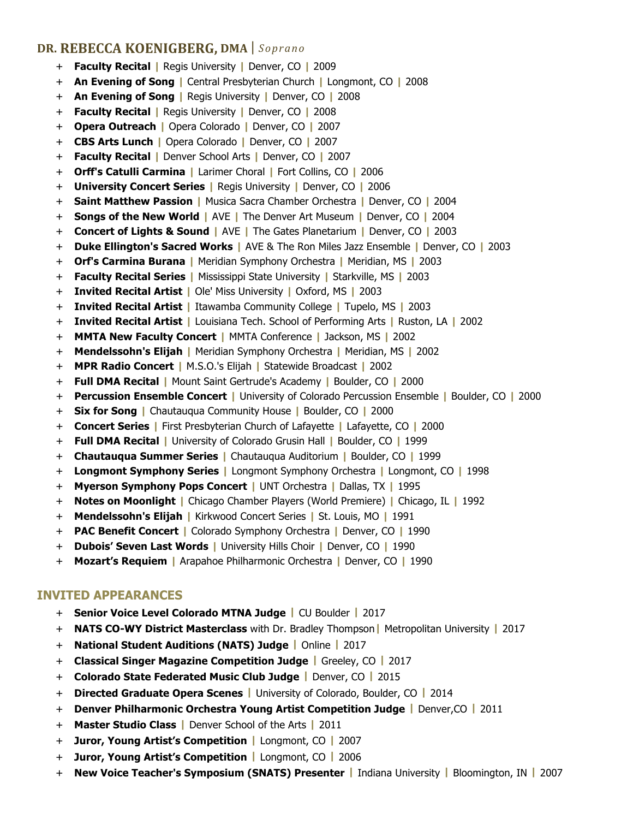- + **Faculty Recital |** Regis University **|** Denver, CO **|** 2009
- + **An Evening of Song |** Central Presbyterian Church **|** Longmont, CO **|** 2008
- + **An Evening of Song |** Regis University **|** Denver, CO **|** 2008
- + **Faculty Recital |** Regis University **|** Denver, CO **|** 2008
- + **Opera Outreach |** Opera Colorado **|** Denver, CO **|** 2007
- + **CBS Arts Lunch |** Opera Colorado **|** Denver, CO **|** 2007
- + **Faculty Recital |** Denver School Arts **|** Denver, CO **|** 2007
- + **Orff's Catulli Carmina |** Larimer Choral **|** Fort Collins, CO **|** 2006
- + **University Concert Series |** Regis University **|** Denver, CO **|** 2006
- + **Saint Matthew Passion |** Musica Sacra Chamber Orchestra **|** Denver, CO **|** 2004
- + **Songs of the New World |** AVE **|** The Denver Art Museum **|** Denver, CO **|** 2004
- + **Concert of Lights & Sound |** AVE **|** The Gates Planetarium **|** Denver, CO **|** 2003
- + **Duke Ellington's Sacred Works |** AVE & The Ron Miles Jazz Ensemble **|** Denver, CO **|** 2003
- + **Orf's Carmina Burana |** Meridian Symphony Orchestra **|** Meridian, MS **|** 2003
- + **Faculty Recital Series |** Mississippi State University **|** Starkville, MS **|** 2003
- + **Invited Recital Artist |** Ole' Miss University **|** Oxford, MS **|** 2003
- + **Invited Recital Artist |** Itawamba Community College **|** Tupelo, MS **|** 2003
- + **Invited Recital Artist |** Louisiana Tech. School of Performing Arts **|** Ruston, LA **|** 2002
- + **MMTA New Faculty Concert |** MMTA Conference **|** Jackson, MS **|** 2002
- + **Mendelssohn's Elijah |** Meridian Symphony Orchestra **|** Meridian, MS **|** 2002
- + **MPR Radio Concert |** M.S.O.'s Elijah **|** Statewide Broadcast **|** 2002
- + **Full DMA Recital |** Mount Saint Gertrude's Academy **|** Boulder, CO **|** 2000
- + **Percussion Ensemble Concert |** University of Colorado Percussion Ensemble **|** Boulder, CO **|** 2000
- + **Six for Song |** Chautauqua Community House **|** Boulder, CO **|** 2000
- + **Concert Series |** First Presbyterian Church of Lafayette **|** Lafayette, CO **|** 2000
- + **Full DMA Recital |** University of Colorado Grusin Hall **|** Boulder, CO **|** 1999
- + **Chautauqua Summer Series |** Chautauqua Auditorium **|** Boulder, CO **|** 1999
- + **Longmont Symphony Series |** Longmont Symphony Orchestra **|** Longmont, CO **|** 1998
- + **Myerson Symphony Pops Concert |** UNT Orchestra **|** Dallas, TX **|** 1995
- + **Notes on Moonlight |** Chicago Chamber Players (World Premiere) **|** Chicago, IL **|** 1992
- + **Mendelssohn's Elijah |** Kirkwood Concert Series **|** St. Louis, MO **|** 1991
- + **PAC Benefit Concert |** Colorado Symphony Orchestra **|** Denver, CO **|** 1990
- + **Dubois' Seven Last Words |** University Hills Choir **|** Denver, CO **|** 1990
- + **Mozart's Requiem |** Arapahoe Philharmonic Orchestra **|** Denver, CO **|** 1990

#### **INVITED APPEARANCES**

- + **Senior Voice Level Colorado MTNA Judge |** CU Boulder **|** 2017
- + **NATS CO-WY District Masterclass** with Dr. Bradley Thompson**|** Metropolitan University **|** 2017
- + **National Student Auditions (NATS) Judge |** Online **|** 2017
- + **Classical Singer Magazine Competition Judge |** Greeley, CO **|** 2017
- + **Colorado State Federated Music Club Judge |** Denver, CO **|** 2015
- + **Directed Graduate Opera Scenes |** University of Colorado, Boulder, CO **|** 2014
- + **Denver Philharmonic Orchestra Young Artist Competition Judge |** Denver,CO **|** 2011
- + **Master Studio Class |** Denver School of the Arts **|** 2011
- + **Juror, Young Artist's Competition |** Longmont, CO **|** 2007
- + **Juror, Young Artist's Competition |** Longmont, CO **|** 2006
- + **New Voice Teacher's Symposium (SNATS) Presenter |** Indiana University **|** Bloomington, IN **|** 2007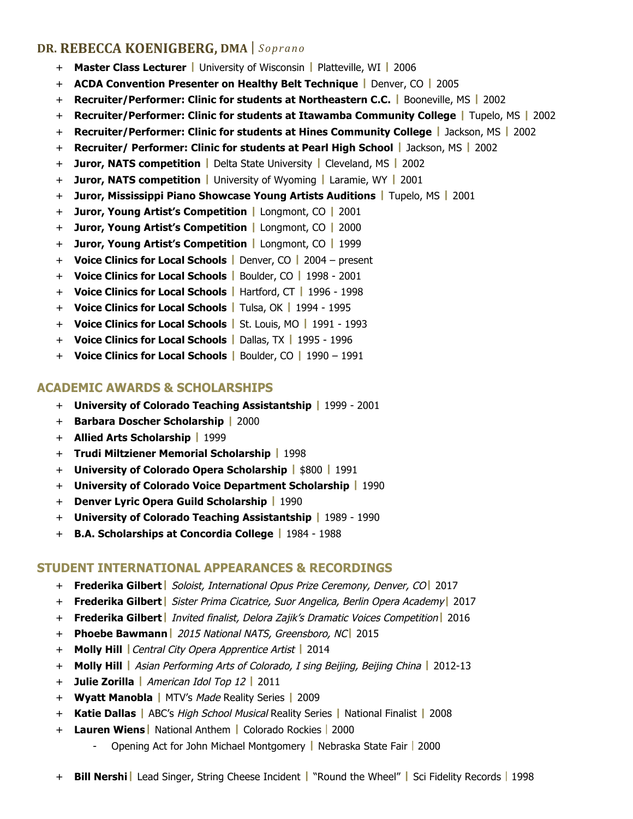- + **Master Class Lecturer |** University of Wisconsin **|** Platteville, WI **|** 2006
- + **ACDA Convention Presenter on Healthy Belt Technique |** Denver, CO **|** 2005
- + **Recruiter/Performer: Clinic for students at Northeastern C.C. |** Booneville, MS **|** 2002
- + **Recruiter/Performer: Clinic for students at Itawamba Community College |** Tupelo, MS **|** 2002
- + **Recruiter/Performer: Clinic for students at Hines Community College |** Jackson, MS **|** 2002
- + **Recruiter/ Performer: Clinic for students at Pearl High School |** Jackson, MS **|** 2002
- + **Juror, NATS competition |** Delta State University **|** Cleveland, MS **|** 2002
- + **Juror, NATS competition |** University of Wyoming **|** Laramie, WY **|** 2001
- + **Juror, Mississippi Piano Showcase Young Artists Auditions |** Tupelo, MS **|** 2001
- + **Juror, Young Artist's Competition |** Longmont, CO **|** 2001
- + **Juror, Young Artist's Competition |** Longmont, CO **|** 2000
- + **Juror, Young Artist's Competition |** Longmont, CO **|** 1999
- + **Voice Clinics for Local Schools |** Denver, CO **|** 2004 present
- + **Voice Clinics for Local Schools |** Boulder, CO **|** 1998 2001
- + **Voice Clinics for Local Schools |** Hartford, CT **|** 1996 1998
- + **Voice Clinics for Local Schools |** Tulsa, OK **|** 1994 1995
- + **Voice Clinics for Local Schools |** St. Louis, MO **|** 1991 1993
- + **Voice Clinics for Local Schools |** Dallas, TX **|** 1995 1996
- + **Voice Clinics for Local Schools |** Boulder, CO **|** 1990 1991

### **ACADEMIC AWARDS & SCHOLARSHIPS**

- + **University of Colorado Teaching Assistantship |** 1999 2001
- + **Barbara Doscher Scholarship |** 2000
- + **Allied Arts Scholarship |** 1999
- + **Trudi Miltziener Memorial Scholarship |** 1998
- + **University of Colorado Opera Scholarship |** \$800 **|** 1991
- + **University of Colorado Voice Department Scholarship |** 1990
- + **Denver Lyric Opera Guild Scholarship |** 1990
- + **University of Colorado Teaching Assistantship |** 1989 1990
- + **B.A. Scholarships at Concordia College |** 1984 1988

#### **STUDENT INTERNATIONAL APPEARANCES & RECORDINGS**

- + **Frederika Gilbert|** Soloist, International Opus Prize Ceremony, Denver, CO**|** 2017
- + **Frederika Gilbert|** Sister Prima Cicatrice, Suor Angelica, Berlin Opera Academy**|** 2017
- + **Frederika Gilbert|** Invited finalist, Delora Zajik's Dramatic Voices Competition**|** 2016
- + **Phoebe Bawmann|** 2015 National NATS, Greensboro, NC**|** 2015
- + **Molly Hill |**Central City Opera Apprentice Artist **|** 2014
- + **Molly Hill |** Asian Performing Arts of Colorado, I sing Beijing, Beijing China **|** 2012-13
- + **Julie Zorilla |** American Idol Top 12 **|** 2011
- + **Wyatt Manobla |** MTV's Made Reality Series **|** 2009
- + **Katie Dallas |** ABC's High School Musical Reality Series **|** National Finalist **|** 2008
- + **Lauren Wiens|** National Anthem **|** Colorado Rockies | 2000
	- Opening Act for John Michael Montgomery **|** Nebraska State Fair | 2000
- + **Bill Nershi|** Lead Singer, String Cheese Incident **|** "Round the Wheel" **|** Sci Fidelity Records | 1998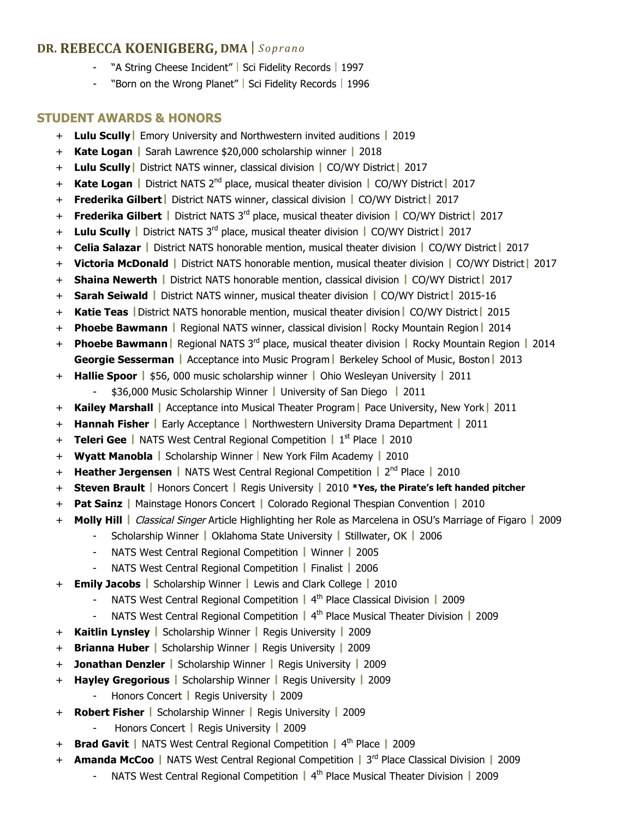- "A String Cheese Incident" | Sci Fidelity Records | 1997
- "Born on the Wrong Planet" | Sci Fidelity Records | 1996

#### **STUDENT AWARDS & HONORS**

- + **Lulu Scully|** Emory University and Northwestern invited auditions **|** 2019
- + **Kate Logan |** Sarah Lawrence \$20,000 scholarship winner **|** 2018
- + **Lulu Scully|** District NATS winner, classical division **|** CO/WY District**|** 2017
- + **Kate Logan |** District NATS 2nd place, musical theater division **|** CO/WY District**|** 2017
- + **Frederika Gilbert|** District NATS winner, classical division **|** CO/WY District**|** 2017
- + **Frederika Gilbert |** District NATS 3rd place, musical theater division **|** CO/WY District**|** 2017
- + **Lulu Scully |** District NATS 3rd place, musical theater division **|** CO/WY District**|** 2017
- + **Celia Salazar |** District NATS honorable mention, musical theater division **|** CO/WY District**|** 2017
- + **Victoria McDonald |** District NATS honorable mention, musical theater division **|** CO/WY District**|** 2017
- + **Shaina Newerth |** District NATS honorable mention, classical division **|** CO/WY District**|** 2017
- + **Sarah Seiwald |** District NATS winner, musical theater division **|** CO/WY District**|** 2015-16
- + **Katie Teas |**District NATS honorable mention, musical theater division**|** CO/WY District**|** 2015
- + **Phoebe Bawmann |** Regional NATS winner, classical division**|** Rocky Mountain Region**|** 2014
- + **Phoebe Bawmann|** Regional NATS 3rd place, musical theater division **|** Rocky Mountain Region **|** 2014 **Georgie Sesserman |** Acceptance into Music Program**|** Berkeley School of Music, Boston**|** 2013
- + **Hallie Spoor |** \$56, 000 music scholarship winner **|** Ohio Wesleyan University **|** 2011 - \$36,000 Music Scholarship Winner **|** University of San Diego **|** 2011
- + **Kailey Marshall |** Acceptance into Musical Theater Program**|** Pace University, New York**|** 2011
- + **Hannah Fisher |** Early Acceptance **|** Northwestern University Drama Department **|** 2011
- + **Teleri Gee |** NATS West Central Regional Competition **|** 1st Place **|** 2010
- + **Wyatt Manobla |** Scholarship Winner | New York Film Academy **|** 2010
- + **Heather Jergensen |** NATS West Central Regional Competition **|** 2nd Place **|** 2010
- + **Steven Brault |** Honors Concert **|** Regis University **|** 2010 **\*Yes, the Pirate's left handed pitcher**
- + **Pat Sainz |** Mainstage Honors Concert **|** Colorado Regional Thespian Convention **|** 2010
- + **Molly Hill |** Classical Singer Article Highlighting her Role as Marcelena in OSU's Marriage of Figaro **|** 2009
	- Scholarship Winner **|** Oklahoma State University **|** Stillwater, OK **|** 2006
	- NATS West Central Regional Competition **|** Winner **|** 2005
	- NATS West Central Regional Competition **|** Finalist **|** 2006
- + **Emily Jacobs |** Scholarship Winner **|** Lewis and Clark College **|** 2010
	- NATS West Central Regional Competition **|** 4th Place Classical Division **|** 2009
	- NATS West Central Regional Competition **|** 4th Place Musical Theater Division **|** 2009
- + **Kaitlin Lynsley |** Scholarship Winner **|** Regis University **|** 2009
- + **Brianna Huber |** Scholarship Winner **|** Regis University **|** 2009
- + **Jonathan Denzler |** Scholarship Winner **|** Regis University **|** 2009
- + **Hayley Gregorious |** Scholarship Winner **|** Regis University **|** 2009
	- Honors Concert **|** Regis University **|** 2009
- + **Robert Fisher |** Scholarship Winner **|** Regis University **|** 2009
	- Honors Concert **|** Regis University **|** 2009
- + **Brad Gavit |** NATS West Central Regional Competition **|** 4th Place **|** 2009
- + **Amanda McCoo |** NATS West Central Regional Competition **|** 3rd Place Classical Division **|** 2009
	- NATS West Central Regional Competition **|** 4th Place Musical Theater Division **|** 2009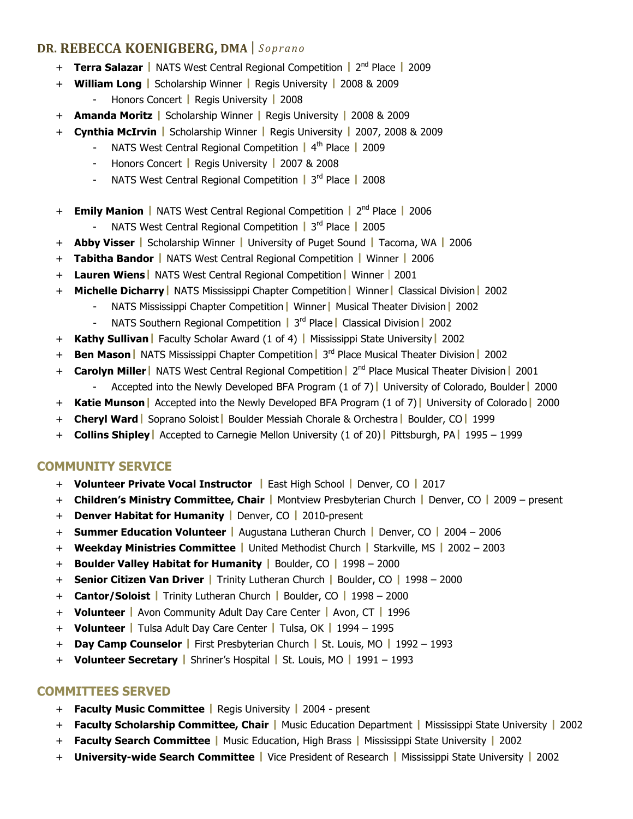- + **Terra Salazar |** NATS West Central Regional Competition **|** 2nd Place **|** 2009
- + **William Long |** Scholarship Winner **|** Regis University **|** 2008 & 2009 - Honors Concert **|** Regis University **|** 2008
- + **Amanda Moritz |** Scholarship Winner **|** Regis University **|** 2008 & 2009
- + **Cynthia McIrvin |** Scholarship Winner **|** Regis University **|** 2007, 2008 & 2009
	- NATS West Central Regional Competition **|** 4th Place **|** 2009
	- Honors Concert **|** Regis University **|** 2007 & 2008
	- NATS West Central Regional Competition **|** 3rd Place **|** 2008
- + **Emily Manion |** NATS West Central Regional Competition **|** 2nd Place **|** 2006
	- NATS West Central Regional Competition **|** 3rd Place **|** 2005
- + **Abby Visser |** Scholarship Winner **|** University of Puget Sound **|** Tacoma, WA **|** 2006
- + **Tabitha Bandor |** NATS West Central Regional Competition **|** Winner **|** 2006
- + **Lauren Wiens|** NATS West Central Regional Competition**|** Winner | 2001
- + **Michelle Dicharry|** NATS Mississippi Chapter Competition**|** Winner**|** Classical Division**|** 2002
	- NATS Mississippi Chapter Competition**|** Winner**|** Musical Theater Division**|** 2002
	- NATS Southern Regional Competition **|** 3rd Place**|** Classical Division**|** 2002
- + **Kathy Sullivan|** Faculty Scholar Award (1 of 4) **|** Mississippi State University**|** 2002
- + **Ben Mason|** NATS Mississippi Chapter Competition**|** 3rd Place Musical Theater Division**|** 2002
- + **Carolyn Miller|** NATS West Central Regional Competition**|** 2nd Place Musical Theater Division**|** 2001
	- Accepted into the Newly Developed BFA Program (1 of 7)**|** University of Colorado, Boulder**|** 2000
- + **Katie Munson|** Accepted into the Newly Developed BFA Program (1 of 7)**|** University of Colorado**|** 2000
- + **Cheryl Ward|** Soprano Soloist**|** Boulder Messiah Chorale & Orchestra**|** Boulder, CO**|** 1999
- + **Collins Shipley|** Accepted to Carnegie Mellon University (1 of 20)**|** Pittsburgh, PA**|** 1995 1999

### **COMMUNITY SERVICE**

- + **Volunteer Private Vocal Instructor |** East High School **|** Denver, CO **|** 2017
- + **Children's Ministry Committee, Chair |** Montview Presbyterian Church **|** Denver, CO **|** 2009 present
- + **Denver Habitat for Humanity |** Denver, CO **|** 2010-present
- + **Summer Education Volunteer |** Augustana Lutheran Church **|** Denver, CO **|** 2004 2006
- + **Weekday Ministries Committee |** United Methodist Church **|** Starkville, MS **|** 2002 2003
- + **Boulder Valley Habitat for Humanity |** Boulder, CO **|** 1998 2000
- + **Senior Citizen Van Driver |** Trinity Lutheran Church **|** Boulder, CO **|** 1998 2000
- + **Cantor/Soloist |** Trinity Lutheran Church **|** Boulder, CO **|** 1998 2000
- + **Volunteer |** Avon Community Adult Day Care Center **|** Avon, CT **|** 1996
- + **Volunteer |** Tulsa Adult Day Care Center **|** Tulsa, OK **|** 1994 1995
- + **Day Camp Counselor |** First Presbyterian Church **|** St. Louis, MO **|** 1992 1993
- + **Volunteer Secretary |** Shriner's Hospital **|** St. Louis, MO **|** 1991 1993

### **COMMITTEES SERVED**

- + **Faculty Music Committee |** Regis University **|** 2004 present
- + **Faculty Scholarship Committee, Chair |** Music Education Department **|** Mississippi State University **|** 2002
- + **Faculty Search Committee |** Music Education, High Brass **|** Mississippi State University **|** 2002
- + **University-wide Search Committee |** Vice President of Research **|** Mississippi State University **|** 2002